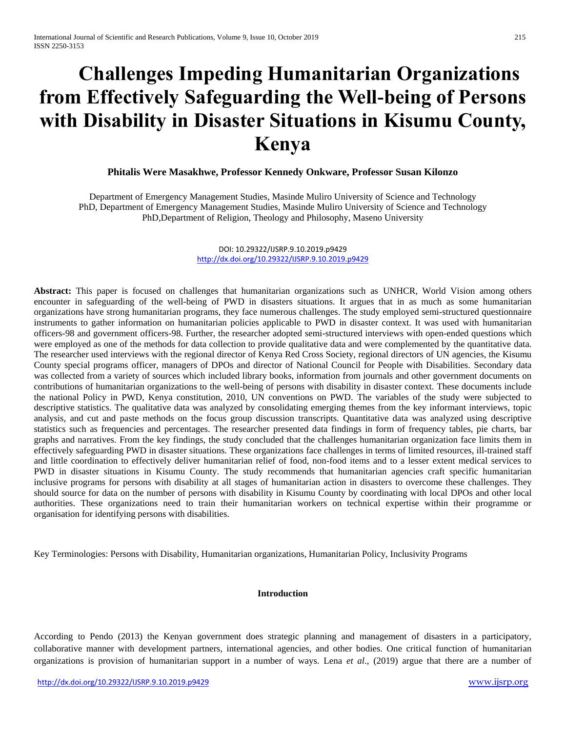# **Challenges Impeding Humanitarian Organizations from Effectively Safeguarding the Well-being of Persons with Disability in Disaster Situations in Kisumu County, Kenya**

**Phitalis Were Masakhwe, Professor Kennedy Onkware, Professor Susan Kilonzo**

Department of Emergency Management Studies, Masinde Muliro University of Science and Technology PhD, Department of Emergency Management Studies, Masinde Muliro University of Science and Technology PhD,Department of Religion, Theology and Philosophy, Maseno University

> DOI: 10.29322/IJSRP.9.10.2019.p9429 <http://dx.doi.org/10.29322/IJSRP.9.10.2019.p9429>

**Abstract:** This paper is focused on challenges that humanitarian organizations such as UNHCR, World Vision among others encounter in safeguarding of the well-being of PWD in disasters situations. It argues that in as much as some humanitarian organizations have strong humanitarian programs, they face numerous challenges. The study employed semi-structured questionnaire instruments to gather information on humanitarian policies applicable to PWD in disaster context. It was used with humanitarian officers-98 and government officers-98. Further, the researcher adopted semi-structured interviews with open-ended questions which were employed as one of the methods for data collection to provide qualitative data and were complemented by the quantitative data. The researcher used interviews with the regional director of Kenya Red Cross Society, regional directors of UN agencies, the Kisumu County special programs officer, managers of DPOs and director of National Council for People with Disabilities. Secondary data was collected from a variety of sources which included library books, information from journals and other government documents on contributions of humanitarian organizations to the well-being of persons with disability in disaster context. These documents include the national Policy in PWD, Kenya constitution, 2010, UN conventions on PWD. The variables of the study were subjected to descriptive statistics. The qualitative data was analyzed by consolidating emerging themes from the key informant interviews, topic analysis, and cut and paste methods on the focus group discussion transcripts. Quantitative data was analyzed using descriptive statistics such as frequencies and percentages. The researcher presented data findings in form of frequency tables, pie charts, bar graphs and narratives. From the key findings, the study concluded that the challenges humanitarian organization face limits them in effectively safeguarding PWD in disaster situations. These organizations face challenges in terms of limited resources, ill-trained staff and little coordination to effectively deliver humanitarian relief of food, non-food items and to a lesser extent medical services to PWD in disaster situations in Kisumu County. The study recommends that humanitarian agencies craft specific humanitarian inclusive programs for persons with disability at all stages of humanitarian action in disasters to overcome these challenges. They should source for data on the number of persons with disability in Kisumu County by coordinating with local DPOs and other local authorities. These organizations need to train their humanitarian workers on technical expertise within their programme or organisation for identifying persons with disabilities.

Key Terminologies: Persons with Disability, Humanitarian organizations, Humanitarian Policy, Inclusivity Programs

#### **Introduction**

According to Pendo (2013) the Kenyan government does strategic planning and management of disasters in a participatory, collaborative manner with development partners, international agencies, and other bodies. One critical function of humanitarian organizations is provision of humanitarian support in a number of ways. Lena *et al*., (2019) argue that there are a number of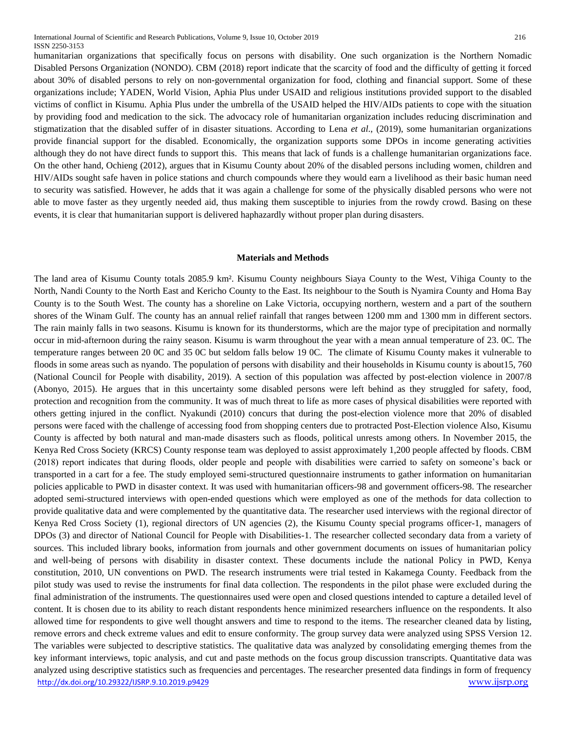humanitarian organizations that specifically focus on persons with disability. One such organization is the Northern Nomadic Disabled Persons Organization (NONDO). CBM (2018) report indicate that the scarcity of food and the difficulty of getting it forced about 30% of disabled persons to rely on non-governmental organization for food, clothing and financial support. Some of these organizations include; YADEN, World Vision, Aphia Plus under USAID and religious institutions provided support to the disabled victims of conflict in Kisumu. Aphia Plus under the umbrella of the USAID helped the HIV/AIDs patients to cope with the situation by providing food and medication to the sick. The advocacy role of humanitarian organization includes reducing discrimination and stigmatization that the disabled suffer of in disaster situations. According to Lena *et al*., (2019), some humanitarian organizations provide financial support for the disabled. Economically, the organization supports some DPOs in income generating activities although they do not have direct funds to support this. This means that lack of funds is a challenge humanitarian organizations face. On the other hand, Ochieng (2012), argues that in Kisumu County about 20% of the disabled persons including women, children and HIV/AIDs sought safe haven in police stations and church compounds where they would earn a livelihood as their basic human need to security was satisfied. However, he adds that it was again a challenge for some of the physically disabled persons who were not able to move faster as they urgently needed aid, thus making them susceptible to injuries from the rowdy crowd. Basing on these events, it is clear that humanitarian support is delivered haphazardly without proper plan during disasters.

#### **Materials and Methods**

<http://dx.doi.org/10.29322/IJSRP.9.10.2019.p9429> [www.ijsrp.org](http://ijsrp.org/) The land area of Kisumu County totals 2085.9 km². Kisumu County neighbours Siaya County to the West, Vihiga County to the North, Nandi County to the North East and Kericho County to the East. Its neighbour to the South is Nyamira County and Homa Bay County is to the South West. The county has a shoreline on Lake Victoria, occupying northern, western and a part of the southern shores of the Winam Gulf. The county has an annual relief rainfall that ranges between 1200 mm and 1300 mm in different sectors. The rain mainly falls in two seasons. Kisumu is known for its thunderstorms, which are the major type of precipitation and normally occur in mid-afternoon during the rainy season. Kisumu is warm throughout the year with a mean annual temperature of 23. 0C. The temperature ranges between 20 0C and 35 0C but seldom falls below 19 0C. The climate of Kisumu County makes it vulnerable to floods in some areas such as nyando. The population of persons with disability and their households in Kisumu county is about15, 760 (National Council for People with disability, 2019). A section of this population was affected by post-election violence in 2007/8 (Abonyo, 2015). He argues that in this uncertainty some disabled persons were left behind as they struggled for safety, food, protection and recognition from the community. It was of much threat to life as more cases of physical disabilities were reported with others getting injured in the conflict. Nyakundi (2010) concurs that during the post-election violence more that 20% of disabled persons were faced with the challenge of accessing food from shopping centers due to protracted Post-Election violence Also, Kisumu County is affected by both natural and man-made disasters such as floods, political unrests among others. In November 2015, the Kenya Red Cross Society (KRCS) County response team was deployed to assist approximately 1,200 people affected by floods. CBM (2018) report indicates that during floods, older people and people with disabilities were carried to safety on someone's back or transported in a cart for a fee. The study employed semi-structured questionnaire instruments to gather information on humanitarian policies applicable to PWD in disaster context. It was used with humanitarian officers-98 and government officers-98. The researcher adopted semi-structured interviews with open-ended questions which were employed as one of the methods for data collection to provide qualitative data and were complemented by the quantitative data. The researcher used interviews with the regional director of Kenya Red Cross Society (1), regional directors of UN agencies (2), the Kisumu County special programs officer-1, managers of DPOs (3) and director of National Council for People with Disabilities-1. The researcher collected secondary data from a variety of sources. This included library books, information from journals and other government documents on issues of humanitarian policy and well-being of persons with disability in disaster context. These documents include the national Policy in PWD, Kenya constitution, 2010, UN conventions on PWD. The research instruments were trial tested in Kakamega County. Feedback from the pilot study was used to revise the instruments for final data collection. The respondents in the pilot phase were excluded during the final administration of the instruments. The questionnaires used were open and closed questions intended to capture a detailed level of content. It is chosen due to its ability to reach distant respondents hence minimized researchers influence on the respondents. It also allowed time for respondents to give well thought answers and time to respond to the items. The researcher cleaned data by listing, remove errors and check extreme values and edit to ensure conformity. The group survey data were analyzed using SPSS Version 12. The variables were subjected to descriptive statistics. The qualitative data was analyzed by consolidating emerging themes from the key informant interviews, topic analysis, and cut and paste methods on the focus group discussion transcripts. Quantitative data was analyzed using descriptive statistics such as frequencies and percentages. The researcher presented data findings in form of frequency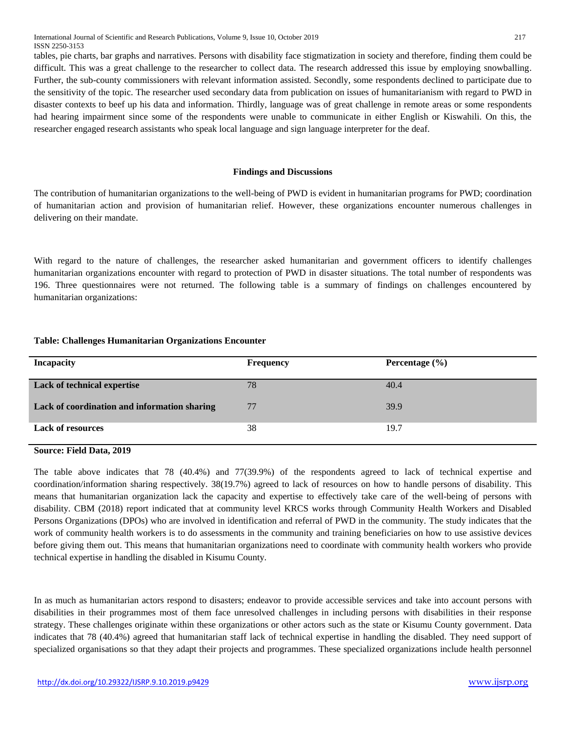tables, pie charts, bar graphs and narratives. Persons with disability face stigmatization in society and therefore, finding them could be difficult. This was a great challenge to the researcher to collect data. The research addressed this issue by employing snowballing. Further, the sub-county commissioners with relevant information assisted. Secondly, some respondents declined to participate due to the sensitivity of the topic. The researcher used secondary data from publication on issues of humanitarianism with regard to PWD in disaster contexts to beef up his data and information. Thirdly, language was of great challenge in remote areas or some respondents had hearing impairment since some of the respondents were unable to communicate in either English or Kiswahili. On this, the researcher engaged research assistants who speak local language and sign language interpreter for the deaf.

### **Findings and Discussions**

The contribution of humanitarian organizations to the well-being of PWD is evident in humanitarian programs for PWD; coordination of humanitarian action and provision of humanitarian relief. However, these organizations encounter numerous challenges in delivering on their mandate.

With regard to the nature of challenges, the researcher asked humanitarian and government officers to identify challenges humanitarian organizations encounter with regard to protection of PWD in disaster situations. The total number of respondents was 196. Three questionnaires were not returned. The following table is a summary of findings on challenges encountered by humanitarian organizations:

### **Table: Challenges Humanitarian Organizations Encounter**

| <b>Incapacity</b>                            | <b>Frequency</b> | Percentage $(\% )$ |
|----------------------------------------------|------------------|--------------------|
| <b>Lack of technical expertise</b>           | 78               | 40.4               |
| Lack of coordination and information sharing | 77               | 39.9               |
| <b>Lack of resources</b>                     | 38               | 19.7               |

**Source: Field Data, 2019**

The table above indicates that 78 (40.4%) and 77(39.9%) of the respondents agreed to lack of technical expertise and coordination/information sharing respectively. 38(19.7%) agreed to lack of resources on how to handle persons of disability. This means that humanitarian organization lack the capacity and expertise to effectively take care of the well-being of persons with disability. CBM (2018) report indicated that at community level KRCS works through Community Health Workers and Disabled Persons Organizations (DPOs) who are involved in identification and referral of PWD in the community. The study indicates that the work of community health workers is to do assessments in the community and training beneficiaries on how to use assistive devices before giving them out. This means that humanitarian organizations need to coordinate with community health workers who provide technical expertise in handling the disabled in Kisumu County.

In as much as humanitarian actors respond to disasters; endeavor to provide accessible services and take into account persons with disabilities in their programmes most of them face unresolved challenges in including persons with disabilities in their response strategy. These challenges originate within these organizations or other actors such as the state or Kisumu County government. Data indicates that 78 (40.4%) agreed that humanitarian staff lack of technical expertise in handling the disabled. They need support of specialized organisations so that they adapt their projects and programmes. These specialized organizations include health personnel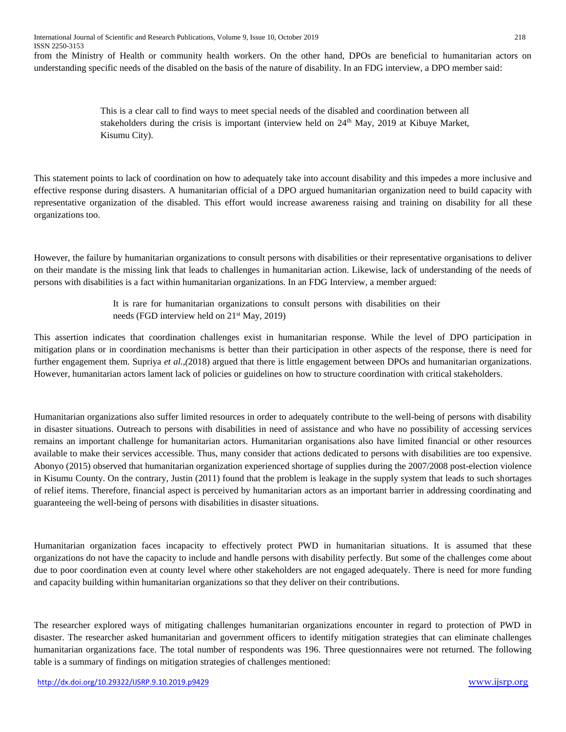from the Ministry of Health or community health workers. On the other hand, DPOs are beneficial to humanitarian actors on understanding specific needs of the disabled on the basis of the nature of disability. In an FDG interview, a DPO member said:

> This is a clear call to find ways to meet special needs of the disabled and coordination between all stakeholders during the crisis is important (interview held on  $24<sup>th</sup>$  May, 2019 at Kibuye Market, Kisumu City).

This statement points to lack of coordination on how to adequately take into account disability and this impedes a more inclusive and effective response during disasters. A humanitarian official of a DPO argued humanitarian organization need to build capacity with representative organization of the disabled. This effort would increase awareness raising and training on disability for all these organizations too.

However, the failure by humanitarian organizations to consult persons with disabilities or their representative organisations to deliver on their mandate is the missing link that leads to challenges in humanitarian action. Likewise, lack of understanding of the needs of persons with disabilities is a fact within humanitarian organizations. In an FDG Interview, a member argued:

> It is rare for humanitarian organizations to consult persons with disabilities on their needs (FGD interview held on 21<sup>st</sup> May, 2019)

This assertion indicates that coordination challenges exist in humanitarian response. While the level of DPO participation in mitigation plans or in coordination mechanisms is better than their participation in other aspects of the response, there is need for further engagement them. Supriya *et al.,(*2018) argued that there is little engagement between DPOs and humanitarian organizations. However, humanitarian actors lament lack of policies or guidelines on how to structure coordination with critical stakeholders.

Humanitarian organizations also suffer limited resources in order to adequately contribute to the well-being of persons with disability in disaster situations. Outreach to persons with disabilities in need of assistance and who have no possibility of accessing services remains an important challenge for humanitarian actors. Humanitarian organisations also have limited financial or other resources available to make their services accessible. Thus, many consider that actions dedicated to persons with disabilities are too expensive. Abonyo (2015) observed that humanitarian organization experienced shortage of supplies during the 2007/2008 post-election violence in Kisumu County. On the contrary, Justin (2011) found that the problem is leakage in the supply system that leads to such shortages of relief items. Therefore, financial aspect is perceived by humanitarian actors as an important barrier in addressing coordinating and guaranteeing the well-being of persons with disabilities in disaster situations.

Humanitarian organization faces incapacity to effectively protect PWD in humanitarian situations. It is assumed that these organizations do not have the capacity to include and handle persons with disability perfectly. But some of the challenges come about due to poor coordination even at county level where other stakeholders are not engaged adequately. There is need for more funding and capacity building within humanitarian organizations so that they deliver on their contributions.

The researcher explored ways of mitigating challenges humanitarian organizations encounter in regard to protection of PWD in disaster. The researcher asked humanitarian and government officers to identify mitigation strategies that can eliminate challenges humanitarian organizations face. The total number of respondents was 196. Three questionnaires were not returned. The following table is a summary of findings on mitigation strategies of challenges mentioned: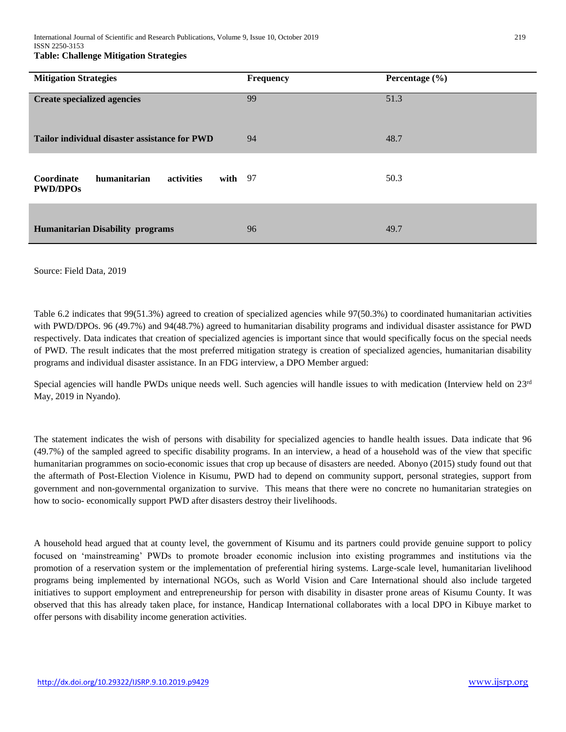| <b>Mitigation Strategies</b>                                             | <b>Frequency</b> | Percentage $(\% )$ |
|--------------------------------------------------------------------------|------------------|--------------------|
| <b>Create specialized agencies</b>                                       | 99               | 51.3               |
| Tailor individual disaster assistance for PWD                            | 94               | 48.7               |
| humanitarian<br>activities<br>Coordinate<br>with $97$<br><b>PWD/DPOs</b> |                  | 50.3               |
| <b>Humanitarian Disability programs</b>                                  | 96               | 49.7               |

### Source: Field Data, 2019

Table 6.2 indicates that 99(51.3%) agreed to creation of specialized agencies while 97(50.3%) to coordinated humanitarian activities with PWD/DPOs. 96 (49.7%) and 94(48.7%) agreed to humanitarian disability programs and individual disaster assistance for PWD respectively. Data indicates that creation of specialized agencies is important since that would specifically focus on the special needs of PWD. The result indicates that the most preferred mitigation strategy is creation of specialized agencies, humanitarian disability programs and individual disaster assistance. In an FDG interview, a DPO Member argued:

Special agencies will handle PWDs unique needs well. Such agencies will handle issues to with medication (Interview held on  $23<sup>rd</sup>$ May, 2019 in Nyando).

The statement indicates the wish of persons with disability for specialized agencies to handle health issues. Data indicate that 96 (49.7%) of the sampled agreed to specific disability programs. In an interview, a head of a household was of the view that specific humanitarian programmes on socio-economic issues that crop up because of disasters are needed. Abonyo (2015) study found out that the aftermath of Post-Election Violence in Kisumu, PWD had to depend on community support, personal strategies, support from government and non-governmental organization to survive. This means that there were no concrete no humanitarian strategies on how to socio- economically support PWD after disasters destroy their livelihoods.

A household head argued that at county level, the government of Kisumu and its partners could provide genuine support to policy focused on 'mainstreaming' PWDs to promote broader economic inclusion into existing programmes and institutions via the promotion of a reservation system or the implementation of preferential hiring systems. Large-scale level, humanitarian livelihood programs being implemented by international NGOs, such as World Vision and Care International should also include targeted initiatives to support employment and entrepreneurship for person with disability in disaster prone areas of Kisumu County. It was observed that this has already taken place, for instance, Handicap International collaborates with a local DPO in Kibuye market to offer persons with disability income generation activities.